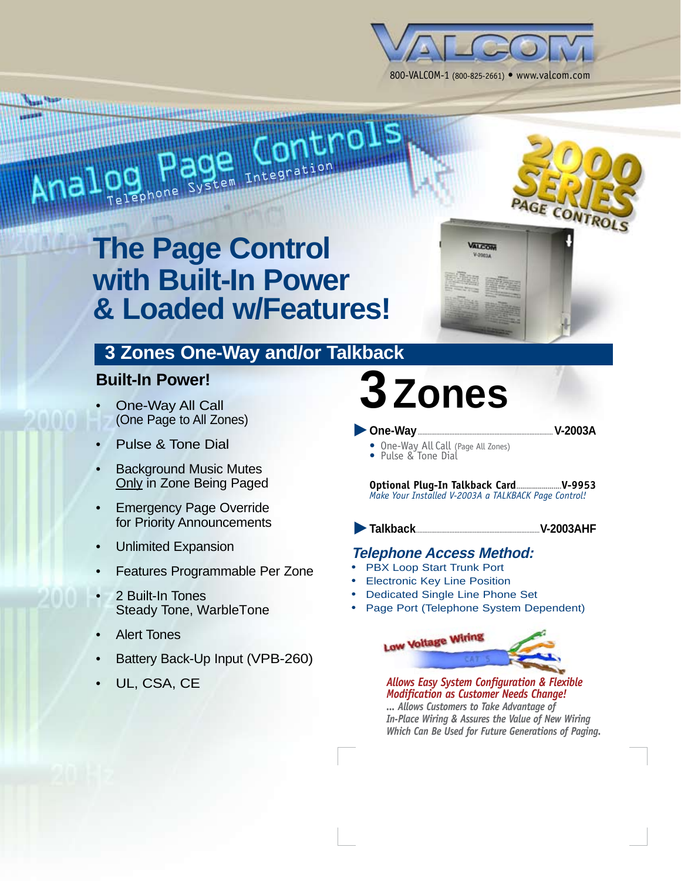

**VALCOM** 

# DO **Pouse** Integration

<u> Anggunang university ng pa</u>

*<u>Asset Talent</u>* 

### **The Page Control with Built-In Power & Loaded w/Features!**

#### **3 Zones One-Way and/or Talkback**

#### **Built-In Power!**

- One-Way All Call (One Page to All Zones) •
- Pulse & Tone Dial •
- Background Music Mutes Only in Zone Being Paged •
- Emergency Page Override for Priority Announcements •
- Unlimited Expansion •
- Features Programmable Per Zone •
- 2 Built-In Tones Steady Tone, WarbleTone •
- Alert Tones •
- Battery Back-Up Input (VPB-260) •
- UL, CSA, CE •

## **3Zones**

**One-Way.................................................................................V-2003A** s

E CONTROL

- One-Way All Call (Page All Zones) Pulse & Tone Dial
- 

**Optional Plug-In Talkback Card.......................V-9953** *Make Your Installed V-2003A a TALKBACK Page Control!*

Talkback...

**Talkback..........................................................................V-2003AHF**

#### **Telephone Access Method:**

- PBX Loop Start Trunk Port •
- Electronic Key Line Position •
- Dedicated Single Line Phone Set •
- Page Port (Telephone System Dependent) •

**Low Voltage Wiring** *Allows Easy System Configuration & Flexible* 

*Modification as Customer Needs Change! ... Allows Customers to Take Advantage of In-Place Wiring & Assures the Value of New Wiring Which Can Be Used for Future Generations of Paging.*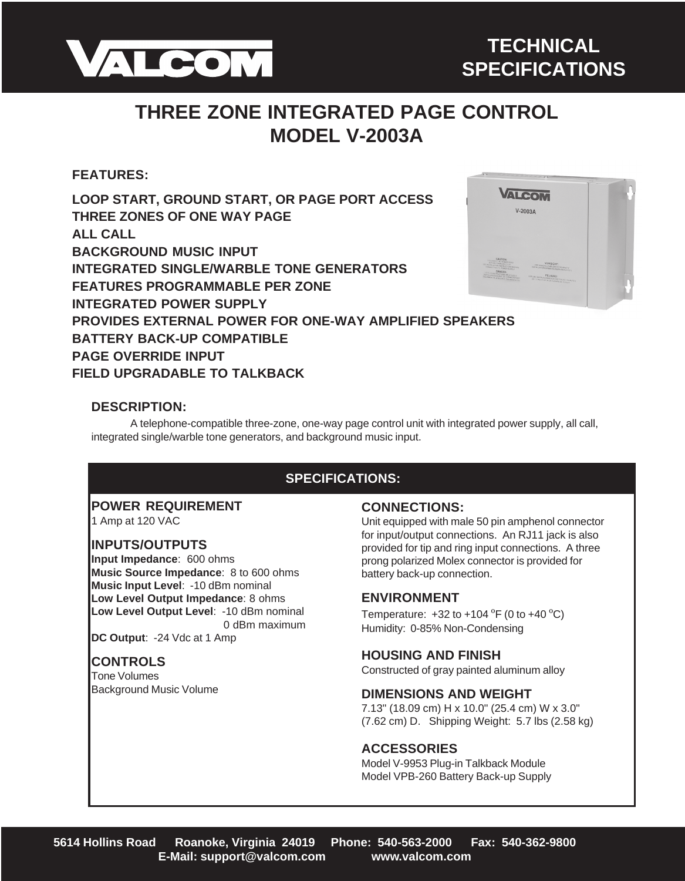

#### **THREE ZONE INTEGRATED PAGE CONTROL MODEL V-2003A**

#### **FEATURES:**

#### **LOOP START, GROUND START, OR PAGE PORT ACCESS THREE ZONES OF ONE WAY PAGE ALL CALL BACKGROUND MUSIC INPUT INTEGRATED SINGLE/WARBLE TONE GENERATORS FEATURES PROGRAMMABLE PER ZONE INTEGRATED POWER SUPPLY PROVIDES EXTERNAL POWER FOR ONE-WAY AMPLIFIED SPEAKERS BATTERY BACK-UP COMPATIBLE PAGE OVERRIDE INPUT FIELD UPGRADABLE TO TALKBACK**



#### **DESCRIPTION:**

A telephone-compatible three-zone, one-way page control unit with integrated power supply, all call, integrated single/warble tone generators, and background music input.

#### **SPECIFICATIONS:**

#### **POWER REQUIREMENT**

1 Amp at 120 VAC

#### **INPUTS/OUTPUTS**

**Input Impedance**: 600 ohms **Music Source Impedance**: 8 to 600 ohms **Music Input Level**: -10 dBm nominal **Low Level Output Impedance**: 8 ohms **Low Level Output Level**: -10 dBm nominal 0 dBm maximum

**DC Output**: -24 Vdc at 1 Amp

#### **CONTROLS**

Tone Volumes Background Music Volume

#### **CONNECTIONS:**

Unit equipped with male 50 pin amphenol connector for input/output connections. An RJ11 jack is also provided for tip and ring input connections. A three prong polarized Molex connector is provided for battery back-up connection.

#### **ENVIRONMENT**

Temperature:  $+32$  to  $+104$  °F (0 to  $+40$  °C) Humidity: 0-85% Non-Condensing

#### **HOUSING AND FINISH**

Constructed of gray painted aluminum alloy

#### **DIMENSIONS AND WEIGHT**

7.13" (18.09 cm) H x 10.0" (25.4 cm) W x 3.0" (7.62 cm) D. Shipping Weight: 5.7 lbs (2.58 kg)

#### **ACCESSORIES**

Model V-9953 Plug-in Talkback Module Model VPB-260 Battery Back-up Supply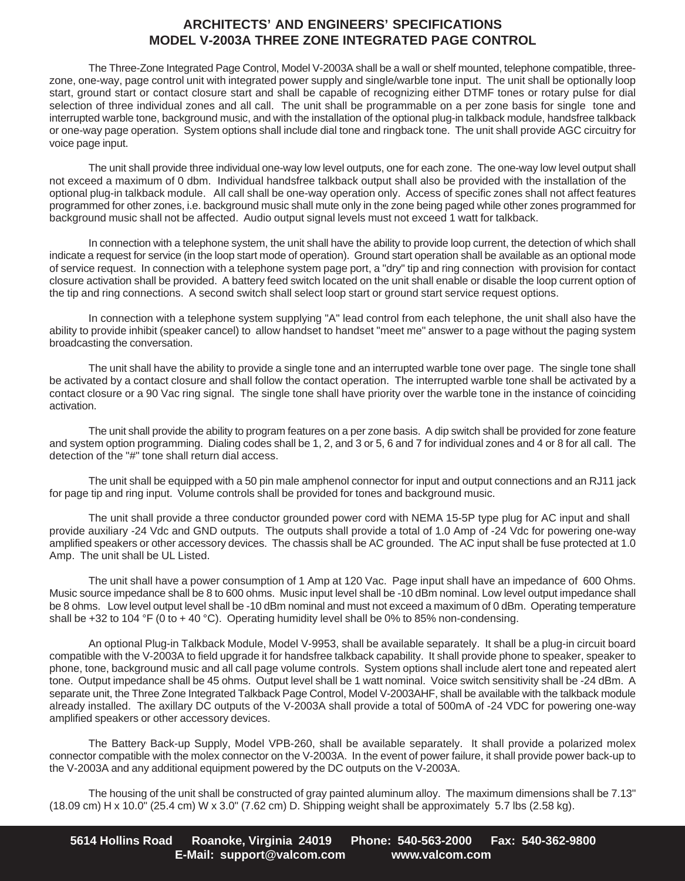#### **ARCHITECTS' AND ENGINEERS' SPECIFICATIONS MODEL V-2003A THREE ZONE INTEGRATED PAGE CONTROL**

The Three-Zone Integrated Page Control, Model V-2003A shall be a wall or shelf mounted, telephone compatible, threezone, one-way, page control unit with integrated power supply and single/warble tone input. The unit shall be optionally loop start, ground start or contact closure start and shall be capable of recognizing either DTMF tones or rotary pulse for dial selection of three individual zones and all call. The unit shall be programmable on a per zone basis for single tone and interrupted warble tone, background music, and with the installation of the optional plug-in talkback module, handsfree talkback or one-way page operation. System options shall include dial tone and ringback tone. The unit shall provide AGC circuitry for voice page input.

The unit shall provide three individual one-way low level outputs, one for each zone. The one-way low level output shall not exceed a maximum of 0 dbm. Individual handsfree talkback output shall also be provided with the installation of the optional plug-in talkback module. All call shall be one-way operation only. Access of specific zones shall not affect features programmed for other zones, i.e. background music shall mute only in the zone being paged while other zones programmed for background music shall not be affected. Audio output signal levels must not exceed 1 watt for talkback.

In connection with a telephone system, the unit shall have the ability to provide loop current, the detection of which shall indicate a request for service (in the loop start mode of operation). Ground start operation shall be available as an optional mode of service request. In connection with a telephone system page port, a "dry" tip and ring connection with provision for contact closure activation shall be provided. A battery feed switch located on the unit shall enable or disable the loop current option of the tip and ring connections. A second switch shall select loop start or ground start service request options.

In connection with a telephone system supplying "A" lead control from each telephone, the unit shall also have the ability to provide inhibit (speaker cancel) to allow handset to handset "meet me" answer to a page without the paging system broadcasting the conversation.

The unit shall have the ability to provide a single tone and an interrupted warble tone over page. The single tone shall be activated by a contact closure and shall follow the contact operation. The interrupted warble tone shall be activated by a contact closure or a 90 Vac ring signal. The single tone shall have priority over the warble tone in the instance of coinciding activation.

The unit shall provide the ability to program features on a per zone basis. A dip switch shall be provided for zone feature and system option programming. Dialing codes shall be 1, 2, and 3 or 5, 6 and 7 for individual zones and 4 or 8 for all call. The detection of the "#" tone shall return dial access.

The unit shall be equipped with a 50 pin male amphenol connector for input and output connections and an RJ11 jack for page tip and ring input. Volume controls shall be provided for tones and background music.

The unit shall provide a three conductor grounded power cord with NEMA 15-5P type plug for AC input and shall provide auxiliary -24 Vdc and GND outputs. The outputs shall provide a total of 1.0 Amp of -24 Vdc for powering one-way amplified speakers or other accessory devices. The chassis shall be AC grounded. The AC input shall be fuse protected at 1.0 Amp. The unit shall be UL Listed.

The unit shall have a power consumption of 1 Amp at 120 Vac. Page input shall have an impedance of 600 Ohms. Music source impedance shall be 8 to 600 ohms. Music input level shall be -10 dBm nominal. Low level output impedance shall be 8 ohms. Low level output level shall be -10 dBm nominal and must not exceed a maximum of 0 dBm. Operating temperature shall be +32 to 104 °F (0 to + 40 °C). Operating humidity level shall be 0% to 85% non-condensing.

An optional Plug-in Talkback Module, Model V-9953, shall be available separately. It shall be a plug-in circuit board compatible with the V-2003A to field upgrade it for handsfree talkback capability. It shall provide phone to speaker, speaker to phone, tone, background music and all call page volume controls. System options shall include alert tone and repeated alert tone. Output impedance shall be 45 ohms. Output level shall be 1 watt nominal. Voice switch sensitivity shall be -24 dBm. A separate unit, the Three Zone Integrated Talkback Page Control, Model V-2003AHF, shall be available with the talkback module already installed. The axillary DC outputs of the V-2003A shall provide a total of 500mA of -24 VDC for powering one-way amplified speakers or other accessory devices.

The Battery Back-up Supply, Model VPB-260, shall be available separately. It shall provide a polarized molex connector compatible with the molex connector on the V-2003A. In the event of power failure, it shall provide power back-up to the V-2003A and any additional equipment powered by the DC outputs on the V-2003A.

The housing of the unit shall be constructed of gray painted aluminum alloy. The maximum dimensions shall be 7.13" (18.09 cm) H x 10.0" (25.4 cm) W x 3.0" (7.62 cm) D. Shipping weight shall be approximately 5.7 lbs (2.58 kg).